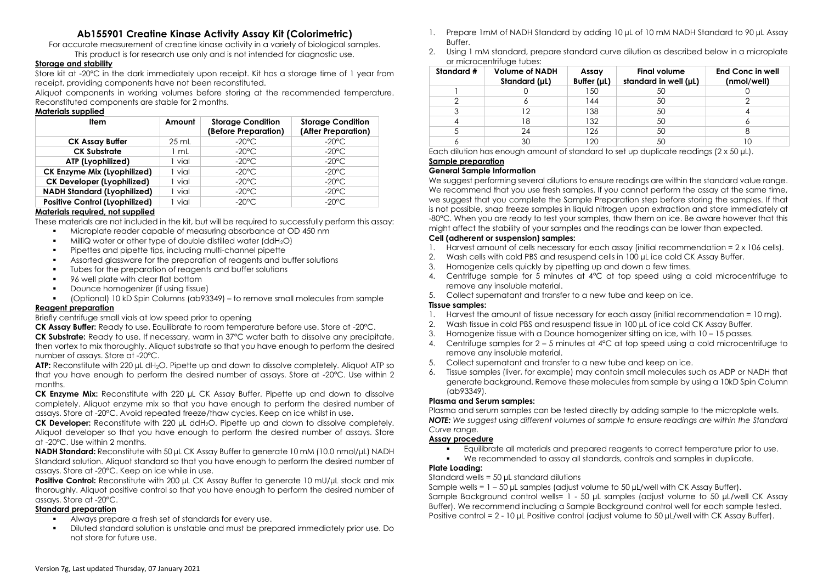# **Ab155901 Creatine Kinase Activity Assay Kit (Colorimetric)**

For accurate measurement of creatine kinase activity in a variety of biological samples.

This product is for research use only and is not intended for diagnostic use.

## **Storage and stability**

Store kit at -20ºC in the dark immediately upon receipt. Kit has a storage time of 1 year from receipt, providing components have not been reconstituted.

Aliquot components in working volumes before storing at the recommended temperature. Reconstituted components are stable for 2 months.

#### **Materials supplied**

| <b>Item</b>                           | Amount  | <b>Storage Condition</b><br>(Before Preparation) | <b>Storage Condition</b><br>(After Preparation) |
|---------------------------------------|---------|--------------------------------------------------|-------------------------------------------------|
| <b>CK Assay Buffer</b>                | $25$ mL | $-20^{\circ}$ C                                  | $-20^{\circ}$ C                                 |
| <b>CK Substrate</b>                   | l mL    | $-20^{\circ}$ C                                  | $-20^{\circ}$ C                                 |
| ATP (Lyophilized)                     | vial    | $-20^{\circ}$ C                                  | $-20^{\circ}$ C                                 |
| CK Enzyme Mix (Lyophilized)           | vial    | $-20^{\circ}$ C                                  | $-20^{\circ}$ C                                 |
| <b>CK Developer (Lyophilized)</b>     | vial    | $-20^{\circ}$ C                                  | $-20^{\circ}$ C                                 |
| <b>NADH Standard (Lyophilized)</b>    | vial    | $-20^{\circ}$ C                                  | $-20^{\circ}$ C.                                |
| <b>Positive Control (Lyophilized)</b> | vial    | $-20^{\circ}$ C.                                 | $-20^{\circ}$ C                                 |

### **Materials required, not supplied**

These materials are not included in the kit, but will be required to successfully perform this assay:

- Microplate reader capable of measuring absorbance at OD 450 nm
- $milliQ$  water or other type of double distilled water (ddH<sub>2</sub>O)
- Pipettes and pipette tips, including multi-channel pipette
- Assorted glassware for the preparation of reagents and buffer solutions
- Tubes for the preparation of reagents and buffer solutions
- 96 well plate with clear flat bottom
- Dounce homogenizer (if using tissue)
- (Optional) 10 kD Spin Columns (ab93349) to remove small molecules from sample **Reagent preparation**

### Briefly centrifuge small vials at low speed prior to opening

**CK Assay Buffer:** Ready to use. Equilibrate to room temperature before use. Store at -20°C.

**CK Substrate:** Ready to use. If necessary, warm in 37°C water bath to dissolve any precipitate, then vortex to mix thoroughly. Aliquot substrate so that you have enough to perform the desired number of assays. Store at -20°C.

**ATP:** Reconstitute with 220 µL dH<sub>2</sub>O. Pipette up and down to dissolve completely. Aliquot ATP so that you have enough to perform the desired number of assays. Store at -20°C. Use within 2 months.

**CK Enzyme Mix:** Reconstitute with 220 µL CK Assay Buffer. Pipette up and down to dissolve completely. Aliquot enzyme mix so that you have enough to perform the desired number of assays. Store at -20°C. Avoid repeated freeze/thaw cycles. Keep on ice whilst in use.

**CK Developer:** Reconstitute with 220 µL ddH2O. Pipette up and down to dissolve completely. Aliquot developer so that you have enough to perform the desired number of assays. Store at -20°C. Use within 2 months.

**NADH Standard:** Reconstitute with 50 µL CK Assay Buffer to generate 10 mM (10.0 nmol/μL) NADH Standard solution. Aliquot standard so that you have enough to perform the desired number of assays. Store at -20°C. Keep on ice while in use.

**Positive Control:** Reconstitute with 200 µL CK Assay Buffer to generate 10 mU/µL stock and mix thoroughly. Aliquot positive control so that you have enough to perform the desired number of assays. Store at -20°C.

#### **Standard preparation**

- Always prepare a fresh set of standards for every use.
- Diluted standard solution is unstable and must be prepared immediately prior use. Do not store for future use.
- 1. Prepare 1mM of NADH Standard by adding 10 µL of 10 mM NADH Standard to 90 µL Assay Buffer.
- 2. Using 1 mM standard, prepare standard curve dilution as described below in a microplate or microcentrifuge tubes:

| Standard # | <b>Volume of NADH</b><br>Standard (µL) | Assay<br>Buffer $(\mu L)$ | <b>Final volume</b><br>standard in well (µL) | <b>End Conc in well</b><br>(nmol/well) |
|------------|----------------------------------------|---------------------------|----------------------------------------------|----------------------------------------|
|            |                                        | 150                       | 50                                           |                                        |
|            |                                        | 144                       | 50                                           |                                        |
|            | 2                                      | 138                       | 50                                           |                                        |
|            | 18                                     | 132                       | 50                                           |                                        |
|            | 24                                     | 126                       | 50                                           |                                        |
|            | 30                                     | 120                       | 50                                           |                                        |

Each dilution has enough amount of standard to set up duplicate readings (2 x 50 µL).

### **Sample preparation**

### **General Sample Information**

We suggest performing several dilutions to ensure readings are within the standard value range. We recommend that you use fresh samples. If you cannot perform the assay at the same time, we suggest that you complete the Sample Preparation step before storing the samples. If that is not possible, snap freeze samples in liquid nitrogen upon extraction and store immediately at -80°C. When you are ready to test your samples, thaw them on ice. Be aware however that this might affect the stability of your samples and the readings can be lower than expected.

#### **Cell (adherent or suspension) samples:**

- 1. Harvest amount of cells necessary for each assay (initial recommendation = 2 x 106 cells).
- 2. Wash cells with cold PBS and resuspend cells in 100 uL ice cold CK Assay Buffer.
- 3. Homogenize cells quickly by pipetting up and down a few times.
- 4. Centrifuge sample for 5 minutes at 4°C at top speed using a cold microcentrifuge to remove any insoluble material.
- 5. Collect supernatant and transfer to a new tube and keep on ice.

### **Tissue samples:**

- 1. Harvest the amount of tissue necessary for each assay (initial recommendation = 10 mg).
- 2. Wash tissue in cold PBS and resuspend tissue in 100 µL of ice cold CK Assay Buffer.
- 3. Homogenize tissue with a Dounce homogenizer sitting on ice, with 10 15 passes.
- 4. Centrifuge samples for 2 5 minutes at 4°C at top speed using a cold microcentrifuge to remove any insoluble material.
- 5. Collect supernatant and transfer to a new tube and keep on ice.
- 6. Tissue samples (liver, for example) may contain small molecules such as ADP or NADH that generate background. Remove these molecules from sample by using a 10kD Spin Column (ab93349).

### **Plasma and Serum samples:**

Plasma and serum samples can be tested directly by adding sample to the microplate wells. **NOTE:** We suggest using different volumes of sample to ensure readings are within the Standard *Curve range.*

### **Assay procedure**

- Equilibrate all materials and prepared reagents to correct temperature prior to use.
- We recommended to assay all standards, controls and samples in duplicate.

### **Plate Loading:**

Standard wells = 50 µL standard dilutions

Sample wells =  $1 - 50$  µL samples (adjust volume to 50 µL/well with CK Assay Buffer). Sample Background control wells= 1 - 50 µL samples (adjust volume to 50 µL/well CK Assay Buffer). We recommend including a Sample Background control well for each sample tested. Positive control = 2 - 10 µL Positive control (adjust volume to 50 µL/well with CK Assay Buffer).